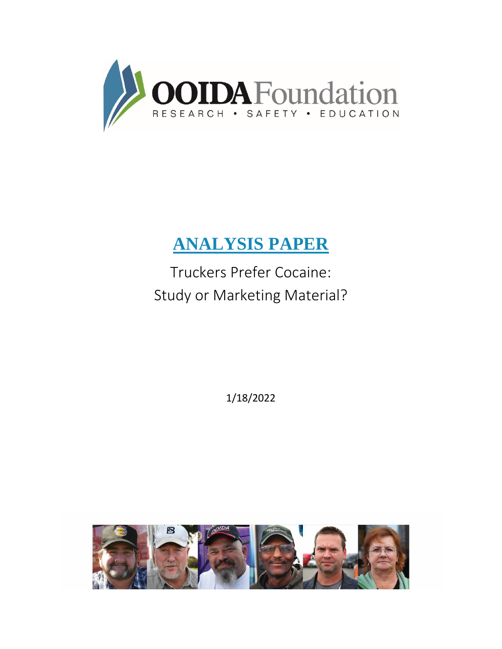

# **ANALYSIS PAPER**

Truckers Prefer Cocaine: Study or Marketing Material?

1/18/2022

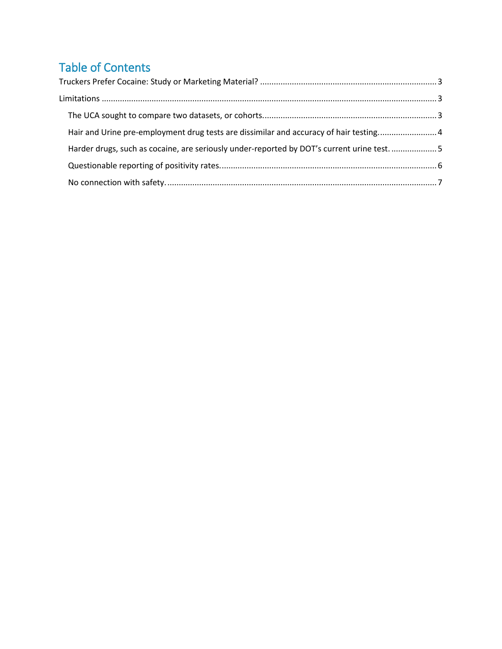# Table of Contents

<span id="page-1-0"></span>

| Hair and Urine pre-employment drug tests are dissimilar and accuracy of hair testing4      |  |
|--------------------------------------------------------------------------------------------|--|
| Harder drugs, such as cocaine, are seriously under-reported by DOT's current urine test. 5 |  |
|                                                                                            |  |
|                                                                                            |  |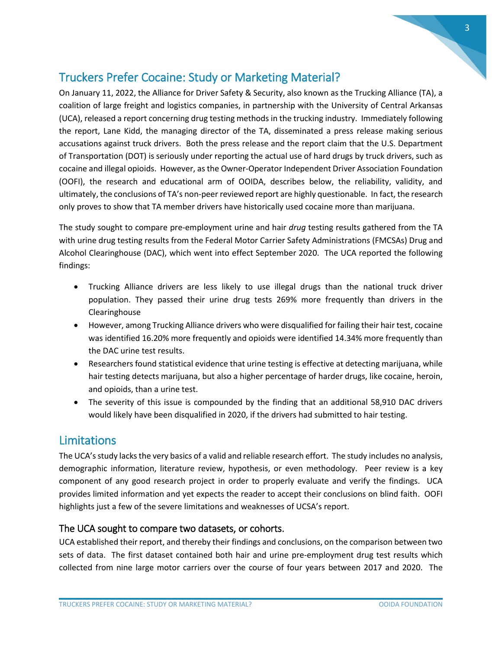## Truckers Prefer Cocaine: Study or Marketing Material?

On January 11, 2022, the Alliance for Driver Safety & Security, also known as the Trucking Alliance (TA), a coalition of large freight and logistics companies, in partnership with the University of Central Arkansas (UCA), released a report concerning drug testing methods in the trucking industry. Immediately following the report, Lane Kidd, the managing director of the TA, disseminated a press release making serious accusations against truck drivers. Both the press release and the report claim that the U.S. Department of Transportation (DOT) is seriously under reporting the actual use of hard drugs by truck drivers, such as cocaine and illegal opioids. However, as the Owner-Operator Independent Driver Association Foundation (OOFI), the research and educational arm of OOIDA, describes below, the reliability, validity, and ultimately, the conclusions of TA's non-peer reviewed report are highly questionable. In fact, the research only proves to show that TA member drivers have historically used cocaine more than marijuana.

The study sought to compare pre-employment urine and hair *drug* testing results gathered from the TA with urine drug testing results from the Federal Motor Carrier Safety Administrations (FMCSAs) Drug and Alcohol Clearinghouse (DAC), which went into effect September 2020. The UCA reported the following findings:

- Trucking Alliance drivers are less likely to use illegal drugs than the national truck driver population. They passed their urine drug tests 269% more frequently than drivers in the Clearinghouse
- However, among Trucking Alliance drivers who were disqualified for failing their hair test, cocaine was identified 16.20% more frequently and opioids were identified 14.34% more frequently than the DAC urine test results.
- Researchers found statistical evidence that urine testing is effective at detecting marijuana, while hair testing detects marijuana, but also a higher percentage of harder drugs, like cocaine, heroin, and opioids, than a urine test.
- The severity of this issue is compounded by the finding that an additional 58,910 DAC drivers would likely have been disqualified in 2020, if the drivers had submitted to hair testing.

### <span id="page-2-0"></span>Limitations

The UCA's study lacks the very basics of a valid and reliable research effort. The study includes no analysis, demographic information, literature review, hypothesis, or even methodology. Peer review is a key component of any good research project in order to properly evaluate and verify the findings. UCA provides limited information and yet expects the reader to accept their conclusions on blind faith. OOFI highlights just a few of the severe limitations and weaknesses of UCSA's report.

#### <span id="page-2-1"></span>The UCA sought to compare two datasets, or cohorts.

UCA established their report, and thereby their findings and conclusions, on the comparison between two sets of data. The first dataset contained both hair and urine pre-employment drug test results which collected from nine large motor carriers over the course of four years between 2017 and 2020. The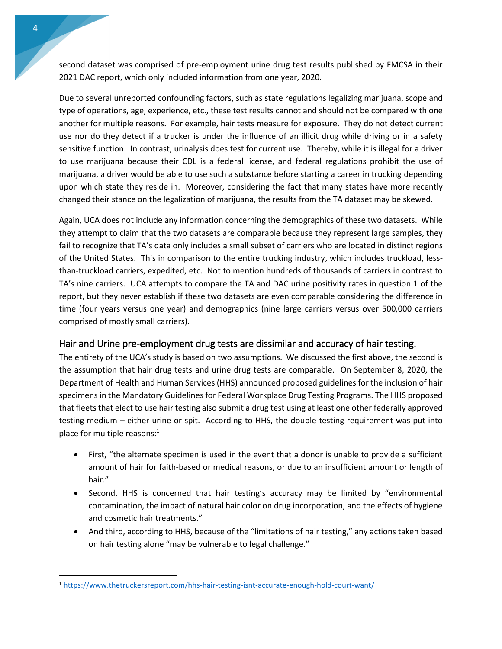second dataset was comprised of pre-employment urine drug test results published by FMCSA in their 2021 DAC report, which only included information from one year, 2020.

Due to several unreported confounding factors, such as state regulations legalizing marijuana, scope and type of operations, age, experience, etc., these test results cannot and should not be compared with one another for multiple reasons. For example, hair tests measure for exposure. They do not detect current use nor do they detect if a trucker is under the influence of an illicit drug while driving or in a safety sensitive function. In contrast, urinalysis does test for current use. Thereby, while it is illegal for a driver to use marijuana because their CDL is a federal license, and federal regulations prohibit the use of marijuana, a driver would be able to use such a substance before starting a career in trucking depending upon which state they reside in. Moreover, considering the fact that many states have more recently changed their stance on the legalization of marijuana, the results from the TA dataset may be skewed.

Again, UCA does not include any information concerning the demographics of these two datasets. While they attempt to claim that the two datasets are comparable because they represent large samples, they fail to recognize that TA's data only includes a small subset of carriers who are located in distinct regions of the United States. This in comparison to the entire trucking industry, which includes truckload, lessthan-truckload carriers, expedited, etc. Not to mention hundreds of thousands of carriers in contrast to TA's nine carriers. UCA attempts to compare the TA and DAC urine positivity rates in question 1 of the report, but they never establish if these two datasets are even comparable considering the difference in time (four years versus one year) and demographics (nine large carriers versus over 500,000 carriers comprised of mostly small carriers).

#### <span id="page-3-0"></span>Hair and Urine pre-employment drug tests are dissimilar and accuracy of hair testing.

The entirety of the UCA's study is based on two assumptions. We discussed the first above, the second is the assumption that hair drug tests and urine drug tests are comparable. On September 8, 2020, the Department of Health and Human Services (HHS) announced proposed guidelines for the inclusion of hair specimens in the Mandatory Guidelines for Federal Workplace Drug Testing Programs. The HHS proposed that fleets that elect to use hair testing also submit a drug test using at least one other federally approved testing medium – either urine or spit. According to HHS, the double-testing requirement was put into place for multiple reasons:<sup>1</sup>

- First, "the alternate specimen is used in the event that a donor is unable to provide a sufficient amount of hair for faith-based or medical reasons, or due to an insufficient amount or length of hair."
- Second, HHS is concerned that hair testing's accuracy may be limited by "environmental contamination, the impact of natural hair color on drug incorporation, and the effects of hygiene and cosmetic hair treatments."
- And third, according to HHS, because of the "limitations of hair testing," any actions taken based on hair testing alone "may be vulnerable to legal challenge."

 $\overline{\phantom{a}}$ 

<sup>1</sup> <https://www.thetruckersreport.com/hhs-hair-testing-isnt-accurate-enough-hold-court-want/>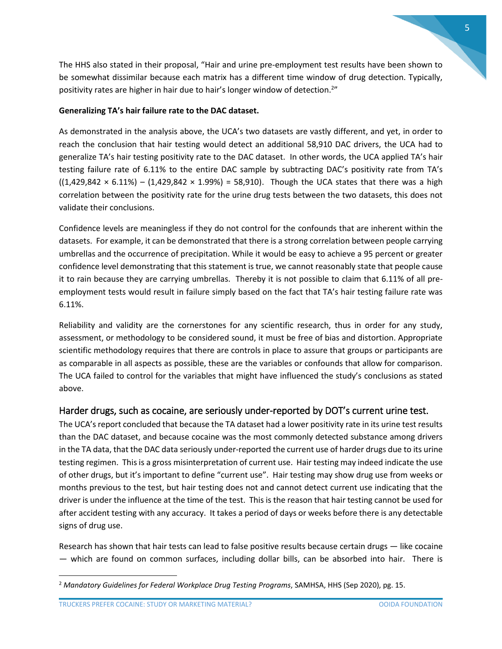The HHS also stated in their proposal, "Hair and urine pre-employment test results have been shown to be somewhat dissimilar because each matrix has a different time window of drug detection. Typically, positivity rates are higher in hair due to hair's longer window of detection.<sup>2"</sup>

#### **Generalizing TA's hair failure rate to the DAC dataset.**

As demonstrated in the analysis above, the UCA's two datasets are vastly different, and yet, in order to reach the conclusion that hair testing would detect an additional 58,910 DAC drivers, the UCA had to generalize TA's hair testing positivity rate to the DAC dataset. In other words, the UCA applied TA's hair testing failure rate of 6.11% to the entire DAC sample by subtracting DAC's positivity rate from TA's  $((1,429,842 \times 6.11\%) - (1,429,842 \times 1.99\%) = 58,910$ . Though the UCA states that there was a high correlation between the positivity rate for the urine drug tests between the two datasets, this does not validate their conclusions.

Confidence levels are meaningless if they do not control for the confounds that are inherent within the datasets. For example, it can be demonstrated that there is a strong correlation between people carrying umbrellas and the occurrence of precipitation. While it would be easy to achieve a 95 percent or greater confidence level demonstrating that this statement is true, we cannot reasonably state that people cause it to rain because they are carrying umbrellas. Thereby it is not possible to claim that 6.11% of all preemployment tests would result in failure simply based on the fact that TA's hair testing failure rate was 6.11%.

Reliability and validity are the cornerstones for any scientific research, thus in order for any study, assessment, or methodology to be considered sound, it must be free of bias and distortion. Appropriate scientific methodology requires that there are controls in place to assure that groups or participants are as comparable in all aspects as possible, these are the variables or confounds that allow for comparison. The UCA failed to control for the variables that might have influenced the study's conclusions as stated above.

#### <span id="page-4-0"></span>Harder drugs, such as cocaine, are seriously under-reported by DOT's current urine test.

The UCA's report concluded that because the TA dataset had a lower positivity rate in its urine test results than the DAC dataset, and because cocaine was the most commonly detected substance among drivers in the TA data, that the DAC data seriously under-reported the current use of harder drugs due to its urine testing regimen. This is a gross misinterpretation of current use. Hair testing may indeed indicate the use of other drugs, but it's important to define "current use". Hair testing may show drug use from weeks or months previous to the test, but hair testing does not and cannot detect current use indicating that the driver is under the influence at the time of the test. This is the reason that hair testing cannot be used for after accident testing with any accuracy. It takes a period of days or weeks before there is any detectable signs of drug use.

Research has shown that hair tests can lead to false positive results because certain drugs — like cocaine — which are found on common surfaces, including dollar bills, can be absorbed into hair. There is

 $\overline{\phantom{a}}$ 

<sup>2</sup> *Mandatory Guidelines for Federal Workplace Drug Testing Programs*, SAMHSA, HHS (Sep 2020), pg. 15.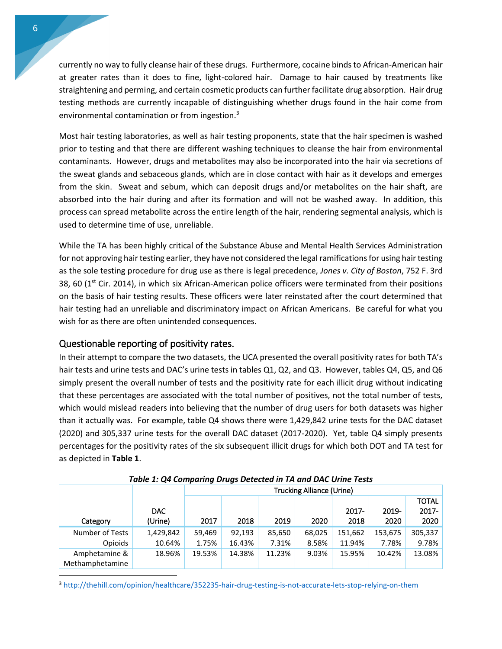currently no way to fully cleanse hair of these drugs. Furthermore, cocaine binds to African-American hair at greater rates than it does to fine, light-colored hair. Damage to hair caused by treatments like straightening and perming, and certain cosmetic products can further facilitate drug absorption. Hair drug testing methods are currently incapable of distinguishing whether drugs found in the hair come from environmental contamination or from ingestion.<sup>3</sup>

Most hair testing laboratories, as well as hair testing proponents, state that the hair specimen is washed prior to testing and that there are different washing techniques to cleanse the hair from environmental contaminants. However, drugs and metabolites may also be incorporated into the hair via secretions of the sweat glands and sebaceous glands, which are in close contact with hair as it develops and emerges from the skin. Sweat and sebum, which can deposit drugs and/or metabolites on the hair shaft, are absorbed into the hair during and after its formation and will not be washed away. In addition, this process can spread metabolite across the entire length of the hair, rendering segmental analysis, which is used to determine time of use, unreliable.

While the TA has been highly critical of the Substance Abuse and Mental Health Services Administration for not approving hair testing earlier, they have not considered the legal ramifications for using hair testing as the sole testing procedure for drug use as there is legal precedence, *Jones v. City of Boston*, 752 F. 3rd 38, 60 (1<sup>st</sup> Cir. 2014), in which six African-American police officers were terminated from their positions on the basis of hair testing results. These officers were later reinstated after the court determined that hair testing had an unreliable and discriminatory impact on African Americans. Be careful for what you wish for as there are often unintended consequences.

#### <span id="page-5-0"></span>Questionable reporting of positivity rates.

 $\overline{\phantom{a}}$ 

In their attempt to compare the two datasets, the UCA presented the overall positivity rates for both TA's hair tests and urine tests and DAC's urine tests in tables Q1, Q2, and Q3. However, tables Q4, Q5, and Q6 simply present the overall number of tests and the positivity rate for each illicit drug without indicating that these percentages are associated with the total number of positives, not the total number of tests, which would mislead readers into believing that the number of drug users for both datasets was higher than it actually was. For example, table Q4 shows there were 1,429,842 urine tests for the DAC dataset (2020) and 305,337 urine tests for the overall DAC dataset (2017-2020). Yet, table Q4 simply presents percentages for the positivity rates of the six subsequent illicit drugs for which both DOT and TA test for as depicted in **Table 1**.

|                 |           | -<br>-<br><b>Trucking Alliance (Urine)</b> |        |        |        |          |         |              |
|-----------------|-----------|--------------------------------------------|--------|--------|--------|----------|---------|--------------|
|                 |           |                                            |        |        |        |          |         | <b>TOTAL</b> |
|                 | DAC.      |                                            |        |        |        | $2017 -$ | 2019-   | 2017-        |
| Category        | (Urine)   | 2017                                       | 2018   | 2019   | 2020   | 2018     | 2020    | 2020         |
| Number of Tests | 1,429,842 | 59,469                                     | 92,193 | 85,650 | 68,025 | 151,662  | 153,675 | 305,337      |
| Opioids         | 10.64%    | 1.75%                                      | 16.43% | 7.31%  | 8.58%  | 11.94%   | 7.78%   | 9.78%        |
| Amphetamine &   | 18.96%    | 19.53%                                     | 14.38% | 11.23% | 9.03%  | 15.95%   | 10.42%  | 13.08%       |
| Methamphetamine |           |                                            |        |        |        |          |         |              |

*Table 1: Q4 Comparing Drugs Detected in TA and DAC Urine Tests*

<sup>3</sup> <http://thehill.com/opinion/healthcare/352235-hair-drug-testing-is-not-accurate-lets-stop-relying-on-them>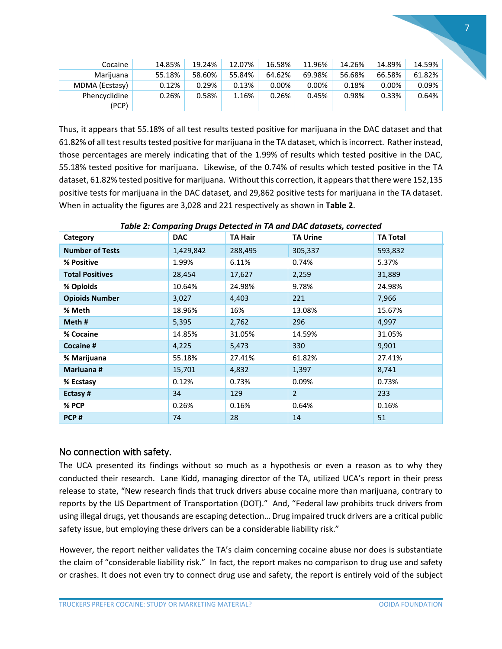| Cocaine        | 14.85% | 19.24% | 12.07% | 16.58% | 11.96% | 14.26% | 14.89% | 14.59%   |
|----------------|--------|--------|--------|--------|--------|--------|--------|----------|
| Marijuana      | 55.18% | 58.60% | 55.84% | 64.62% | 69.98% | 56.68% | 66.58% | 61.82%   |
| MDMA (Ecstasy) | 0.12%  | 0.29%  | 0.13%  | 0.00%  | 0.00%  | 0.18%  | 0.00%  | 0.09%    |
| Phencyclidine  | 0.26%  | 0.58%  | 1.16%  | 0.26%  | 0.45%  | 0.98%  | 0.33%  | $0.64\%$ |
| (PCP)          |        |        |        |        |        |        |        |          |

Thus, it appears that 55.18% of all test results tested positive for marijuana in the DAC dataset and that 61.82% of all test results tested positive for marijuana in the TA dataset, which is incorrect. Rather instead, those percentages are merely indicating that of the 1.99% of results which tested positive in the DAC, 55.18% tested positive for marijuana. Likewise, of the 0.74% of results which tested positive in the TA dataset, 61.82% tested positive for marijuana. Without this correction, it appears that there were 152,135 positive tests for marijuana in the DAC dataset, and 29,862 positive tests for marijuana in the TA dataset. When in actuality the figures are 3,028 and 221 respectively as shown in **Table 2**.

| Category               | <b>DAC</b> | <b>TA Hair</b> | <b>TA Urine</b> | <b>TA Total</b> |
|------------------------|------------|----------------|-----------------|-----------------|
| <b>Number of Tests</b> | 1,429,842  | 288,495        | 305,337         | 593,832         |
| % Positive             | 1.99%      | 6.11%          | 0.74%           | 5.37%           |
| <b>Total Positives</b> | 28,454     | 17,627         | 2,259           | 31,889          |
| % Opioids              | 10.64%     | 24.98%         | 9.78%           | 24.98%          |
| <b>Opioids Number</b>  | 3,027      | 4,403          | 221             | 7,966           |
| % Meth                 | 18.96%     | 16%            | 13.08%          | 15.67%          |
| Meth#                  | 5,395      | 2,762          | 296             | 4,997           |
| % Cocaine              | 14.85%     | 31.05%         | 14.59%          | 31.05%          |
| <b>Cocaine #</b>       | 4,225      | 5,473          | 330             | 9,901           |
| % Marijuana            | 55.18%     | 27.41%         | 61.82%          | 27.41%          |
| Mariuana #             | 15,701     | 4,832          | 1,397           | 8,741           |
| % Ecstasy              | 0.12%      | 0.73%          | 0.09%           | 0.73%           |
| Ectasy#                | 34         | 129            | $\overline{2}$  | 233             |
| % PCP                  | 0.26%      | 0.16%          | 0.64%           | 0.16%           |
| PCP#                   | 74         | 28             | 14              | 51              |

*Table 2: Comparing Drugs Detected in TA and DAC datasets, corrected*

#### <span id="page-6-0"></span>No connection with safety.

The UCA presented its findings without so much as a hypothesis or even a reason as to why they conducted their research. Lane Kidd, managing director of the TA, utilized UCA's report in their press release to state, "New research finds that truck drivers abuse cocaine more than marijuana, contrary to reports by the US Department of Transportation (DOT)." And, "Federal law prohibits truck drivers from using illegal drugs, yet thousands are escaping detection… Drug impaired truck drivers are a critical public safety issue, but employing these drivers can be a considerable liability risk."

However, the report neither validates the TA's claim concerning cocaine abuse nor does is substantiate the claim of "considerable liability risk." In fact, the report makes no comparison to drug use and safety or crashes. It does not even try to connect drug use and safety, the report is entirely void of the subject